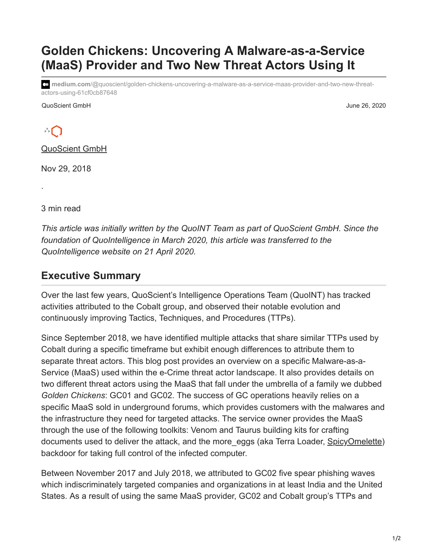## **Golden Chickens: Uncovering A Malware-as-a-Service (MaaS) Provider and Two New Threat Actors Using It**

**medium.com**[/@quoscient/golden-chickens-uncovering-a-malware-as-a-service-maas-provider-and-two-new-threat](https://medium.com/@quoscient/golden-chickens-uncovering-a-malware-as-a-service-maas-provider-and-two-new-threat-actors-using-61cf0cb87648)actors-using-61cf0cb87648

QuoScient GmbH June 26, 2020



·

[QuoScient GmbH](https://medium.com/@quoscient?source=post_page-----61cf0cb87648--------------------------------)

Nov 29, 2018

3 min read

*This article was initially written by the QuoINT Team as part of QuoScient GmbH. Since the foundation of QuoIntelligence in March 2020, this article was transferred to the QuoIntelligence website on 21 April 2020.*

## **Executive Summary**

Over the last few years, QuoScient's Intelligence Operations Team (QuoINT) has tracked activities attributed to the Cobalt group, and observed their notable evolution and continuously improving Tactics, Techniques, and Procedures (TTPs).

Since September 2018, we have identified multiple attacks that share similar TTPs used by Cobalt during a specific timeframe but exhibit enough differences to attribute them to separate threat actors. This blog post provides an overview on a specific Malware-as-a-Service (MaaS) used within the e-Crime threat actor landscape. It also provides details on two different threat actors using the MaaS that fall under the umbrella of a family we dubbed *Golden Chickens*: GC01 and GC02. The success of GC operations heavily relies on a specific MaaS sold in underground forums, which provides customers with the malwares and the infrastructure they need for targeted attacks. The service owner provides the MaaS through the use of the following toolkits: Venom and Taurus building kits for crafting documents used to deliver the attack, and the more\_eggs (aka Terra Loader, [SpicyOmelette\)](https://www.secureworks.com/blog/cybercriminals-increasingly-trying-to-ensnare-the-big-financial-fish) backdoor for taking full control of the infected computer.

Between November 2017 and July 2018, we attributed to GC02 five spear phishing waves which indiscriminately targeted companies and organizations in at least India and the United States. As a result of using the same MaaS provider, GC02 and Cobalt group's TTPs and